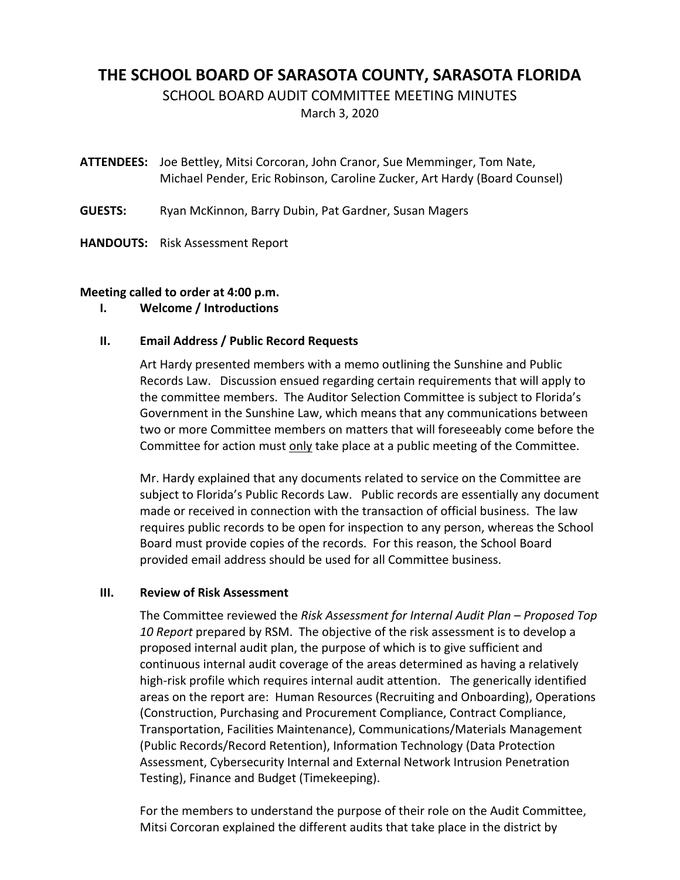# **THE SCHOOL BOARD OF SARASOTA COUNTY, SARASOTA FLORIDA**

SCHOOL BOARD AUDIT COMMITTEE MEETING MINUTES

March 3, 2020

**ATTENDEES:**  Joe Bettley, Mitsi Corcoran, John Cranor, Sue Memminger, Tom Nate, Michael Pender, Eric Robinson, Caroline Zucker, Art Hardy (Board Counsel)

- **GUESTS:** Ryan McKinnon, Barry Dubin, Pat Gardner, Susan Magers
- **HANDOUTS:** Risk Assessment Report

## **Meeting called to order at 4:00 p.m.**

**I. Welcome / Introductions**

## **II. Email Address / Public Record Requests**

Art Hardy presented members with a memo outlining the Sunshine and Public Records Law. Discussion ensued regarding certain requirements that will apply to the committee members. The Auditor Selection Committee is subject to Florida's Government in the Sunshine Law, which means that any communications between two or more Committee members on matters that will foreseeably come before the Committee for action must only take place at a public meeting of the Committee.

Mr. Hardy explained that any documents related to service on the Committee are subject to Florida's Public Records Law. Public records are essentially any document made or received in connection with the transaction of official business. The law requires public records to be open for inspection to any person, whereas the School Board must provide copies of the records. For this reason, the School Board provided email address should be used for all Committee business.

# **III. Review of Risk Assessment**

The Committee reviewed the *Risk Assessment for Internal Audit Plan – Proposed Top 10 Report* prepared by RSM. The objective of the risk assessment is to develop a proposed internal audit plan, the purpose of which is to give sufficient and continuous internal audit coverage of the areas determined as having a relatively high-risk profile which requires internal audit attention. The generically identified areas on the report are: Human Resources (Recruiting and Onboarding), Operations (Construction, Purchasing and Procurement Compliance, Contract Compliance, Transportation, Facilities Maintenance), Communications/Materials Management (Public Records/Record Retention), Information Technology (Data Protection Assessment, Cybersecurity Internal and External Network Intrusion Penetration Testing), Finance and Budget (Timekeeping).

For the members to understand the purpose of their role on the Audit Committee, Mitsi Corcoran explained the different audits that take place in the district by